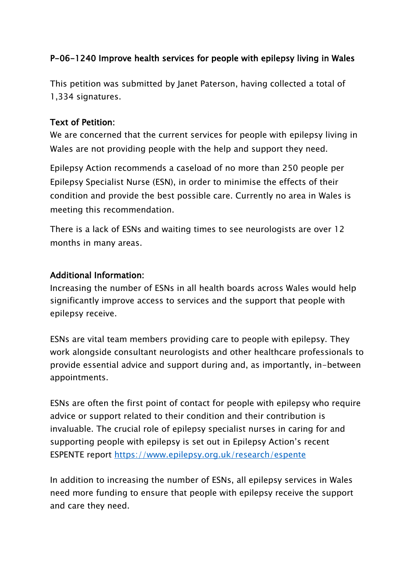## P-06-1240 Improve health services for people with epilepsy living in Wales

This petition was submitted by Janet Paterson, having collected a total of 1,334 signatures.

## Text of Petition:

We are concerned that the current services for people with epilepsy living in Wales are not providing people with the help and support they need.

Epilepsy Action recommends a caseload of no more than 250 people per Epilepsy Specialist Nurse (ESN), in order to minimise the effects of their condition and provide the best possible care. Currently no area in Wales is meeting this recommendation.

There is a lack of ESNs and waiting times to see neurologists are over 12 months in many areas.

## Additional Information:

Increasing the number of ESNs in all health boards across Wales would help significantly improve access to services and the support that people with epilepsy receive.

ESNs are vital team members providing care to people with epilepsy. They work alongside consultant neurologists and other healthcare professionals to provide essential advice and support during and, as importantly, in-between appointments.

ESNs are often the first point of contact for people with epilepsy who require advice or support related to their condition and their contribution is invaluable. The crucial role of epilepsy specialist nurses in caring for and supporting people with epilepsy is set out in Epilepsy Action's recent ESPENTE report<https://www.epilepsy.org.uk/research/espente>

In addition to increasing the number of ESNs, all epilepsy services in Wales need more funding to ensure that people with epilepsy receive the support and care they need.